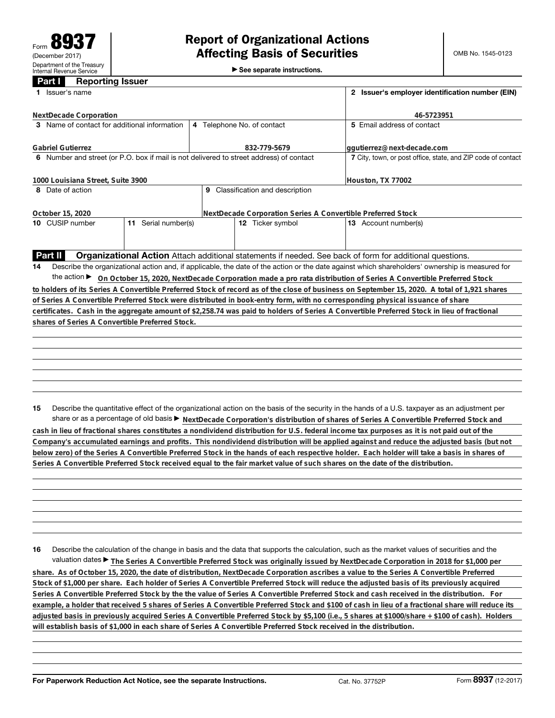►<br>► See separate instructions.

## **Part I Reporting Issuer**

| Issuer's name<br>1                                                                      |                     | 2 Issuer's employer identification number (EIN)              |                                                                                                                                                 |
|-----------------------------------------------------------------------------------------|---------------------|--------------------------------------------------------------|-------------------------------------------------------------------------------------------------------------------------------------------------|
| NextDecade Corporation                                                                  |                     |                                                              | 46-5723951                                                                                                                                      |
| 3 Name of contact for additional information                                            |                     | 4 Telephone No. of contact                                   | 5 Email address of contact                                                                                                                      |
| <b>Gabriel Gutierrez</b>                                                                |                     | 832-779-5679                                                 | qqutierrez@next-decade.com                                                                                                                      |
| 6 Number and street (or P.O. box if mail is not delivered to street address) of contact |                     | 7 City, town, or post office, state, and ZIP code of contact |                                                                                                                                                 |
| 1000 Louisiana Street, Suite 3900                                                       |                     | Houston, TX 77002                                            |                                                                                                                                                 |
| 8 Date of action                                                                        |                     | 9 Classification and description                             |                                                                                                                                                 |
| October 15, 2020                                                                        |                     | NextDecade Corporation Series A Convertible Preferred Stock  |                                                                                                                                                 |
| 10 CUSIP number                                                                         | 11 Serial number(s) | 12 Ticker symbol                                             | 13 Account number(s)                                                                                                                            |
|                                                                                         |                     |                                                              |                                                                                                                                                 |
| Part II                                                                                 |                     |                                                              | <b>Organizational Action</b> Attach additional statements if needed. See back of form for additional questions.                                 |
| 14                                                                                      |                     |                                                              | Describe the organizational action and, if applicable, the date of the action or the date against which shareholders' ownership is measured for |
| the action $\blacktriangleright$                                                        |                     |                                                              | On October 15, 2020, NextDecade Corporation made a pro rata distribution of Series A Convertible Preferred Stock                                |
|                                                                                         |                     |                                                              | to holders of its Series A Convertible Preferred Stock of record as of the close of business on September 15, 2020. A total of 1,921 shares     |
|                                                                                         |                     |                                                              | of Series A Convertible Preferred Stock were distributed in book-entry form, with no corresponding physical issuance of share                   |
|                                                                                         |                     |                                                              | certificates. Cash in the aggregate amount of \$2,258.74 was paid to holders of Series A Convertible Preferred Stock in lieu of fractional      |
| shares of Series A Convertible Preferred Stock.                                         |                     |                                                              |                                                                                                                                                 |
|                                                                                         |                     |                                                              |                                                                                                                                                 |
|                                                                                         |                     |                                                              |                                                                                                                                                 |
|                                                                                         |                     |                                                              |                                                                                                                                                 |
|                                                                                         |                     |                                                              |                                                                                                                                                 |
|                                                                                         |                     |                                                              |                                                                                                                                                 |
|                                                                                         |                     |                                                              |                                                                                                                                                 |
|                                                                                         |                     |                                                              |                                                                                                                                                 |
| 15                                                                                      |                     |                                                              | Describe the quantitative effect of the organizational action on the basis of the security in the hands of a U.S. taxpayer as an adjustment per |
|                                                                                         |                     |                                                              | share or as a percentage of old basis > NextDecade Corporation's distribution of shares of Series A Convertible Preferred Stock and             |

**cash in lieu of fractional shares constitutes a nondividend distribution for U.S. federal income tax purposes as it is not paid out of the Company's accumulated earnings and profits. This nondividend distribution will be applied against and reduce the adjusted basis (but not below zero) of the Series A Convertible Preferred Stock in the hands of each respective holder. Each holder will take a basis in shares of Series A Convertible Preferred Stock received equal to the fair market value of such shares on the date of the distribution.**

**16** Describe the calculation of the change in basis and the data that supports the calculation, such as the market values of securities and the valuation dates ▶ The Series A Convertible Preferred Stock was originally issued by NextDecade Corporation in 2018 for \$1,000 per

**share. As of October 15, 2020, the date of distribution, NextDecade Corporation ascribes a value to the Series A Convertible Preferred Stock of \$1,000 per share. Each holder of Series A Convertible Preferred Stock will reduce the adjusted basis of its previously acquired Series A Convertible Preferred Stock by the the value of Series A Convertible Preferred Stock and cash received in the distribution. For example, a holder that received 5 shares of Series A Convertible Preferred Stock and \$100 of cash in lieu of a fractional share will reduce its adjusted basis in previously acquired Series A Convertible Preferred Stock by \$5,100 (i.e., 5 shares at \$1000/share + \$100 of cash). Holders will establish basis of \$1,000 in each share of Series A Convertible Preferred Stock received in the distribution.**